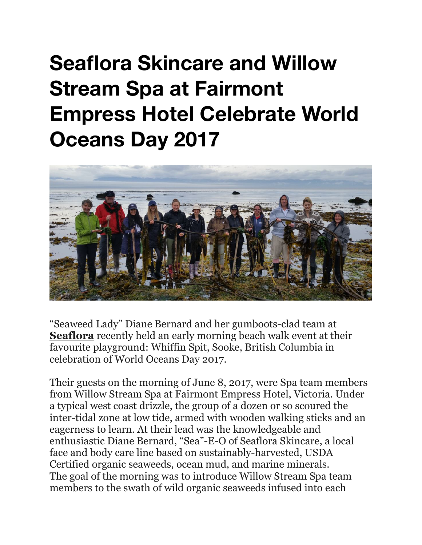## **Seaflora Skincare and Willow Stream Spa at Fairmont Empress Hotel Celebrate World Oceans Day 2017**



"Seaweed Lady" Diane Bernard and her gumboots-clad team at **Seaflora** recently held an early morning beach walk event at their favourite playground: Whiffin Spit, Sooke, British Columbia in celebration of World Oceans Day 2017.

Their guests on the morning of June 8, 2017, were Spa team members from Willow Stream Spa at Fairmont Empress Hotel, Victoria. Under a typical west coast drizzle, the group of a dozen or so scoured the inter-tidal zone at low tide, armed with wooden walking sticks and an eagerness to learn. At their lead was the knowledgeable and enthusiastic Diane Bernard, "Sea"-E-O of Seaflora Skincare, a local face and body care line based on sustainably-harvested, USDA Certified organic seaweeds, ocean mud, and marine minerals. The goal of the morning was to introduce Willow Stream Spa team members to the swath of wild organic seaweeds infused into each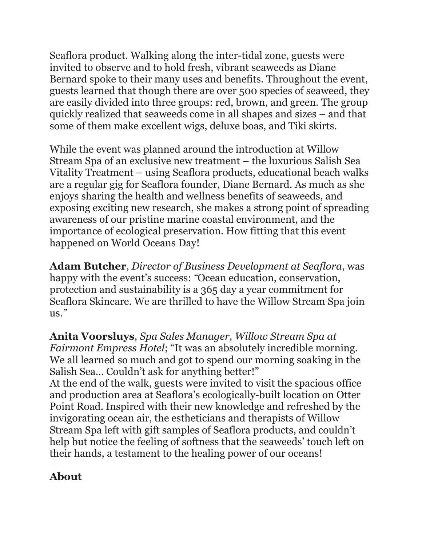Seaflora product. Walking along the inter-tidal zone, guests were invited to observe and to hold fresh, vibrant seaweeds as Diane Bernard spoke to their many uses and benefits. Throughout the event, guests learned that though there are over 500 species of seaweed, they are easily divided into three groups: red, brown, and green. The group quickly realized that seaweeds come in all shapes and sizes – and that some of them make excellent wigs, deluxe boas, and Tiki skirts.

While the event was planned around the introduction at Willow Stream Spa of an exclusive new treatment – the luxurious Salish Sea Vitality Treatment – using Seaflora products, educational beach walks are a regular gig for Seaflora founder, Diane Bernard. As much as she enjoys sharing the health and wellness benefits of seaweeds, and exposing exciting new research, she makes a strong point of spreading awareness of our pristine marine coastal environment, and the importance of ecological preservation. How fitting that this event happened on World Oceans Day!

**Adam Butcher**, *Director of Business Development at Seaflora*, was happy with the event's success: *"*Ocean education, conservation, protection and sustainability is a 365 day a year commitment for Seaflora Skincare. We are thrilled to have the Willow Stream Spa join  $\frac{11S}{2}$ 

**Anita Voorsluys**, *Spa Sales Manager, Willow Stream Spa at Fairmont Empress Hotel*; "It was an absolutely incredible morning. We all learned so much and got to spend our morning soaking in the Salish Sea… Couldn't ask for anything better!" At the end of the walk, guests were invited to visit the spacious office and production area at Seaflora's ecologically-built location on Otter Point Road. Inspired with their new knowledge and refreshed by the invigorating ocean air, the estheticians and therapists of Willow Stream Spa left with gift samples of Seaflora products, and couldn't help but notice the feeling of softness that the seaweeds' touch left on their hands, a testament to the healing power of our oceans!

## **About**